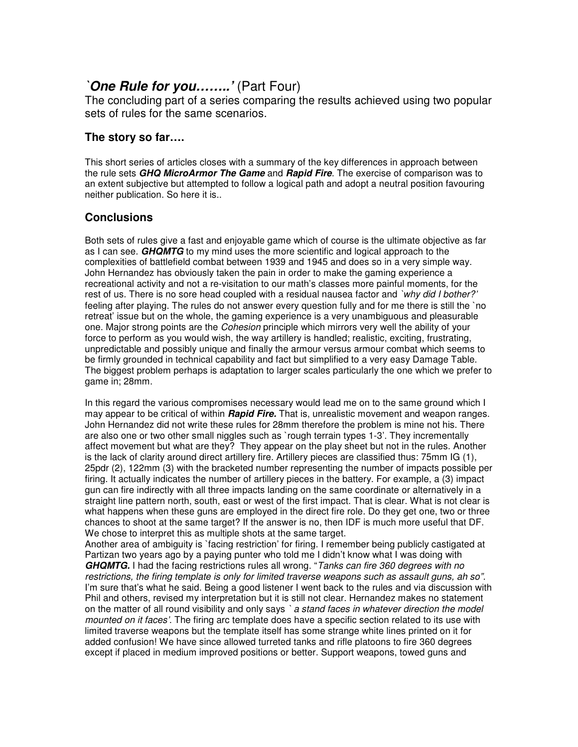## *`One Rule for you……..'* (Part Four)

The concluding part of a series comparing the results achieved using two popular sets of rules for the same scenarios.

## **The story so far….**

This short series of articles closes with a summary of the key differences in approach between the rule sets *GHQ MicroArmor The Game* and *Rapid Fire*. The exercise of comparison was to an extent subjective but attempted to follow a logical path and adopt a neutral position favouring neither publication. So here it is..

## **Conclusions**

Both sets of rules give a fast and enjoyable game which of course is the ultimate objective as far as I can see. *GHQMTG* to my mind uses the more scientific and logical approach to the complexities of battlefield combat between 1939 and 1945 and does so in a very simple way. John Hernandez has obviously taken the pain in order to make the gaming experience a recreational activity and not a re-visitation to our math's classes more painful moments, for the rest of us. There is no sore head coupled with a residual nausea factor and *`why did I bother?'* feeling after playing. The rules do not answer every question fully and for me there is still the `no retreat' issue but on the whole, the gaming experience is a very unambiguous and pleasurable one. Major strong points are the *Cohesion* principle which mirrors very well the ability of your force to perform as you would wish, the way artillery is handled; realistic, exciting, frustrating, unpredictable and possibly unique and finally the armour versus armour combat which seems to be firmly grounded in technical capability and fact but simplified to a very easy Damage Table. The biggest problem perhaps is adaptation to larger scales particularly the one which we prefer to game in; 28mm.

In this regard the various compromises necessary would lead me on to the same ground which I may appear to be critical of within *Rapid Fire.* That is, unrealistic movement and weapon ranges. John Hernandez did not write these rules for 28mm therefore the problem is mine not his. There are also one or two other small niggles such as `rough terrain types 1-3'. They incrementally affect movement but what are they? They appear on the play sheet but not in the rules. Another is the lack of clarity around direct artillery fire. Artillery pieces are classified thus: 75mm IG (1), 25pdr (2), 122mm (3) with the bracketed number representing the number of impacts possible per firing. It actually indicates the number of artillery pieces in the battery. For example, a (3) impact gun can fire indirectly with all three impacts landing on the same coordinate or alternatively in a straight line pattern north, south, east or west of the first impact. That is clear. What is not clear is what happens when these guns are employed in the direct fire role. Do they get one, two or three chances to shoot at the same target? If the answer is no, then IDF is much more useful that DF. We chose to interpret this as multiple shots at the same target.

Another area of ambiguity is `facing restriction' for firing. I remember being publicly castigated at Partizan two years ago by a paying punter who told me I didn't know what I was doing with *GHQMTG.* I had the facing restrictions rules all wrong. "*Tanks can fire 360 degrees with no restrictions, the firing template is only for limited traverse weapons such as assault guns, ah so".* I'm sure that's what he said. Being a good listener I went back to the rules and via discussion with Phil and others, revised my interpretation but it is still not clear. Hernandez makes no statement on the matter of all round visibility and only says *` a stand faces in whatever direction the model mounted on it faces'*. The firing arc template does have a specific section related to its use with limited traverse weapons but the template itself has some strange white lines printed on it for added confusion! We have since allowed turreted tanks and rifle platoons to fire 360 degrees except if placed in medium improved positions or better. Support weapons, towed guns and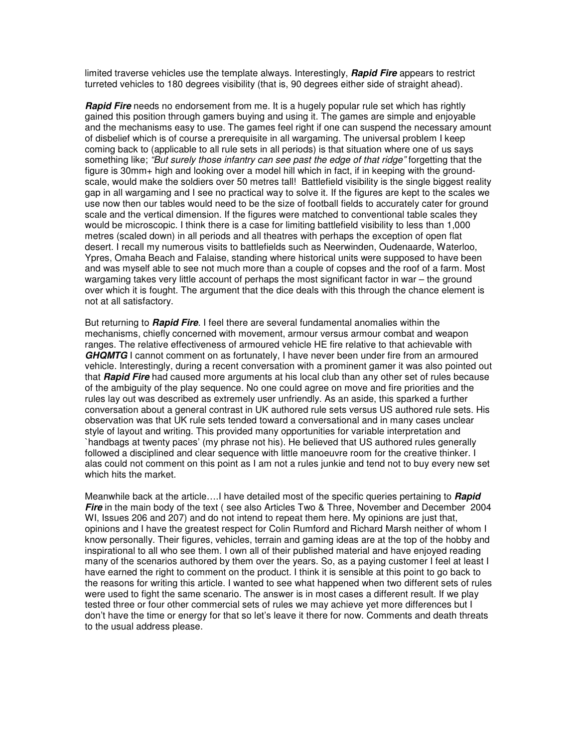limited traverse vehicles use the template always. Interestingly, *Rapid Fire* appears to restrict turreted vehicles to 180 degrees visibility (that is, 90 degrees either side of straight ahead).

**Rapid Fire** needs no endorsement from me. It is a hugely popular rule set which has rightly gained this position through gamers buying and using it. The games are simple and enjoyable and the mechanisms easy to use. The games feel right if one can suspend the necessary amount of disbelief which is of course a prerequisite in all wargaming. The universal problem I keep coming back to (applicable to all rule sets in all periods) is that situation where one of us says something like; *"But surely those infantry can see past the edge of that ridge"* forgetting that the figure is 30mm+ high and looking over a model hill which in fact, if in keeping with the groundscale, would make the soldiers over 50 metres tall! Battlefield visibility is the single biggest reality gap in all wargaming and I see no practical way to solve it. If the figures are kept to the scales we use now then our tables would need to be the size of football fields to accurately cater for ground scale and the vertical dimension. If the figures were matched to conventional table scales they would be microscopic. I think there is a case for limiting battlefield visibility to less than 1,000 metres (scaled down) in all periods and all theatres with perhaps the exception of open flat desert. I recall my numerous visits to battlefields such as Neerwinden, Oudenaarde, Waterloo, Ypres, Omaha Beach and Falaise, standing where historical units were supposed to have been and was myself able to see not much more than a couple of copses and the roof of a farm. Most wargaming takes very little account of perhaps the most significant factor in war – the ground over which it is fought. The argument that the dice deals with this through the chance element is not at all satisfactory.

But returning to *Rapid Fire*. I feel there are several fundamental anomalies within the mechanisms, chiefly concerned with movement, armour versus armour combat and weapon ranges. The relative effectiveness of armoured vehicle HE fire relative to that achievable with *GHQMTG* I cannot comment on as fortunately, I have never been under fire from an armoured vehicle. Interestingly, during a recent conversation with a prominent gamer it was also pointed out that *Rapid Fire* had caused more arguments at his local club than any other set of rules because of the ambiguity of the play sequence. No one could agree on move and fire priorities and the rules lay out was described as extremely user unfriendly. As an aside, this sparked a further conversation about a general contrast in UK authored rule sets versus US authored rule sets. His observation was that UK rule sets tended toward a conversational and in many cases unclear style of layout and writing. This provided many opportunities for variable interpretation and `handbags at twenty paces' (my phrase not his). He believed that US authored rules generally followed a disciplined and clear sequence with little manoeuvre room for the creative thinker. I alas could not comment on this point as I am not a rules junkie and tend not to buy every new set which hits the market.

Meanwhile back at the article….I have detailed most of the specific queries pertaining to *Rapid* **Fire** in the main body of the text (see also Articles Two & Three, November and December 2004 WI, Issues 206 and 207) and do not intend to repeat them here. My opinions are just that, opinions and I have the greatest respect for Colin Rumford and Richard Marsh neither of whom I know personally. Their figures, vehicles, terrain and gaming ideas are at the top of the hobby and inspirational to all who see them. I own all of their published material and have enjoyed reading many of the scenarios authored by them over the years. So, as a paying customer I feel at least I have earned the right to comment on the product. I think it is sensible at this point to go back to the reasons for writing this article. I wanted to see what happened when two different sets of rules were used to fight the same scenario. The answer is in most cases a different result. If we play tested three or four other commercial sets of rules we may achieve yet more differences but I don't have the time or energy for that so let's leave it there for now. Comments and death threats to the usual address please.